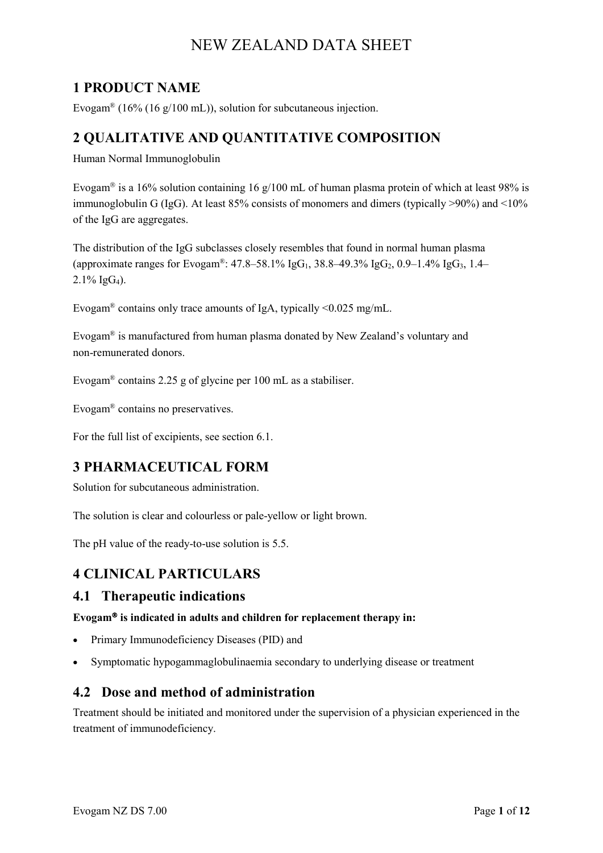# **1 PRODUCT NAME**

Evogam<sup>®</sup> (16% (16 g/100 mL)), solution for subcutaneous injection.

# **2 QUALITATIVE AND QUANTITATIVE COMPOSITION**

Human Normal Immunoglobulin

Evogam<sup>®</sup> is a 16% solution containing 16 g/100 mL of human plasma protein of which at least 98% is immunoglobulin G (IgG). At least 85% consists of monomers and dimers (typically >90%) and <10% of the IgG are aggregates.

The distribution of the IgG subclasses closely resembles that found in normal human plasma (approximate ranges for Evogam®: 47.8–58.1% IgG<sub>1</sub>, 38.8–49.3% IgG<sub>2</sub>, 0.9–1.4% IgG<sub>3</sub>, 1.4–  $2.1\%$  IgG<sub>4</sub>).

Evogam<sup>®</sup> contains only trace amounts of IgA, typically <0.025 mg/mL.

Evogam® is manufactured from human plasma donated by New Zealand's voluntary and non-remunerated donors.

Evogam® contains 2.25 g of glycine per 100 mL as a stabiliser.

Evogam® contains no preservatives.

For the full list of excipients, see section 6.1.

# **3 PHARMACEUTICAL FORM**

Solution for subcutaneous administration.

The solution is clear and colourless or pale-yellow or light brown.

The pH value of the ready-to-use solution is 5.5.

# **4 CLINICAL PARTICULARS**

## **4.1 Therapeutic indications**

#### **Evogam<sup>®</sup> is indicated in adults and children for replacement therapy in:**

- Primary Immunodeficiency Diseases (PID) and
- Symptomatic hypogammaglobulinaemia secondary to underlying disease or treatment

## **4.2 Dose and method of administration**

Treatment should be initiated and monitored under the supervision of a physician experienced in the treatment of immunodeficiency.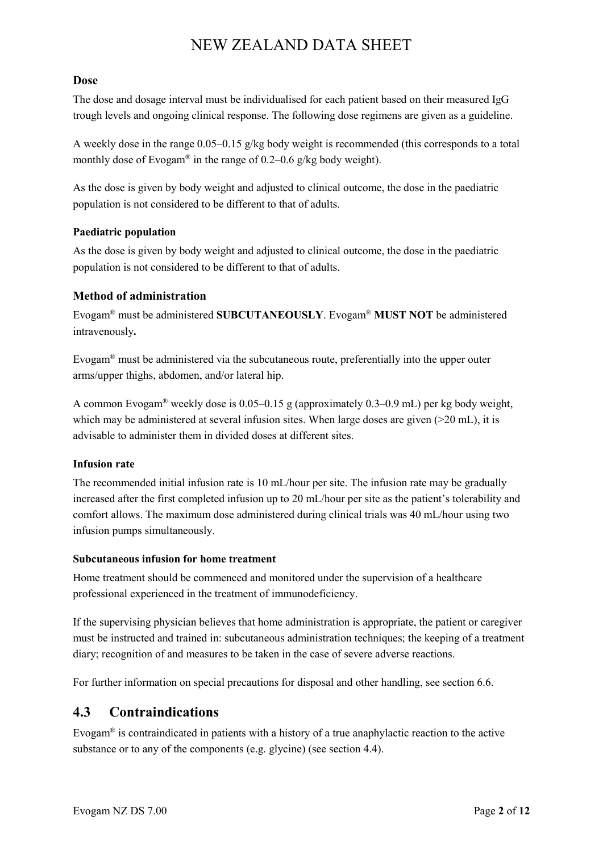#### **Dose**

The dose and dosage interval must be individualised for each patient based on their measured IgG trough levels and ongoing clinical response. The following dose regimens are given as a guideline.

A weekly dose in the range 0.05–0.15 g/kg body weight is recommended (this corresponds to a total monthly dose of Evogam<sup>®</sup> in the range of 0.2–0.6 g/kg body weight).

As the dose is given by body weight and adjusted to clinical outcome, the dose in the paediatric population is not considered to be different to that of adults.

#### **Paediatric population**

As the dose is given by body weight and adjusted to clinical outcome, the dose in the paediatric population is not considered to be different to that of adults.

#### **Method of administration**

Evogam® must be administered **SUBCUTANEOUSLY**. Evogam® **MUST NOT** be administered intravenously**.**

Evogam® must be administered via the subcutaneous route, preferentially into the upper outer arms/upper thighs, abdomen, and/or lateral hip.

A common Evogam<sup>®</sup> weekly dose is 0.05–0.15 g (approximately 0.3–0.9 mL) per kg body weight, which may be administered at several infusion sites. When large doses are given  $(20 \text{ mL})$ , it is advisable to administer them in divided doses at different sites.

#### **Infusion rate**

The recommended initial infusion rate is 10 mL/hour per site. The infusion rate may be gradually increased after the first completed infusion up to 20 mL/hour per site as the patient's tolerability and comfort allows. The maximum dose administered during clinical trials was 40 mL/hour using two infusion pumps simultaneously.

#### **Subcutaneous infusion for home treatment**

Home treatment should be commenced and monitored under the supervision of a healthcare professional experienced in the treatment of immunodeficiency.

If the supervising physician believes that home administration is appropriate, the patient or caregiver must be instructed and trained in: subcutaneous administration techniques; the keeping of a treatment diary; recognition of and measures to be taken in the case of severe adverse reactions.

For further information on special precautions for disposal and other handling, see section 6.6.

# **4.3 Contraindications**

Evogam<sup>®</sup> is contraindicated in patients with a history of a true anaphylactic reaction to the active substance or to any of the components (e.g. glycine) (see section 4.4).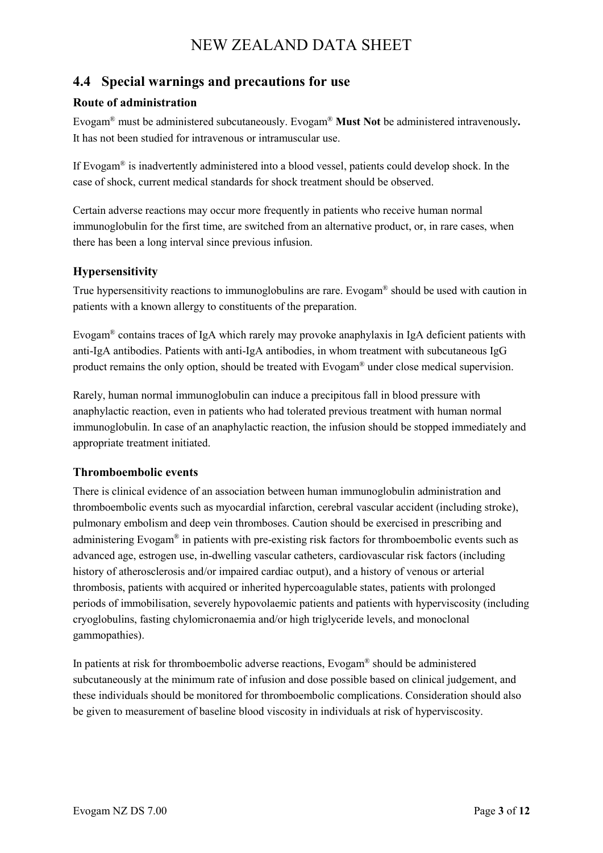# **4.4 Special warnings and precautions for use**

#### **Route of administration**

Evogam® must be administered subcutaneously. Evogam® **Must Not** be administered intravenously**.** It has not been studied for intravenous or intramuscular use.

If Evogam<sup>®</sup> is inadvertently administered into a blood vessel, patients could develop shock. In the case of shock, current medical standards for shock treatment should be observed.

Certain adverse reactions may occur more frequently in patients who receive human normal immunoglobulin for the first time, are switched from an alternative product, or, in rare cases, when there has been a long interval since previous infusion.

#### **Hypersensitivity**

True hypersensitivity reactions to immunoglobulins are rare. Evogam® should be used with caution in patients with a known allergy to constituents of the preparation.

Evogam® contains traces of IgA which rarely may provoke anaphylaxis in IgA deficient patients with anti-IgA antibodies. Patients with anti-IgA antibodies, in whom treatment with subcutaneous IgG product remains the only option, should be treated with Evogam® under close medical supervision.

Rarely, human normal immunoglobulin can induce a precipitous fall in blood pressure with anaphylactic reaction, even in patients who had tolerated previous treatment with human normal immunoglobulin. In case of an anaphylactic reaction, the infusion should be stopped immediately and appropriate treatment initiated.

#### **Thromboembolic events**

There is clinical evidence of an association between human immunoglobulin administration and thromboembolic events such as myocardial infarction, cerebral vascular accident (including stroke), pulmonary embolism and deep vein thromboses. Caution should be exercised in prescribing and administering Evogam® in patients with pre-existing risk factors for thromboembolic events such as advanced age, estrogen use, in-dwelling vascular catheters, cardiovascular risk factors (including history of atherosclerosis and/or impaired cardiac output), and a history of venous or arterial thrombosis, patients with acquired or inherited hypercoagulable states, patients with prolonged periods of immobilisation, severely hypovolaemic patients and patients with hyperviscosity (including cryoglobulins, fasting chylomicronaemia and/or high triglyceride levels, and monoclonal gammopathies).

In patients at risk for thromboembolic adverse reactions, Evogam® should be administered subcutaneously at the minimum rate of infusion and dose possible based on clinical judgement, and these individuals should be monitored for thromboembolic complications. Consideration should also be given to measurement of baseline blood viscosity in individuals at risk of hyperviscosity.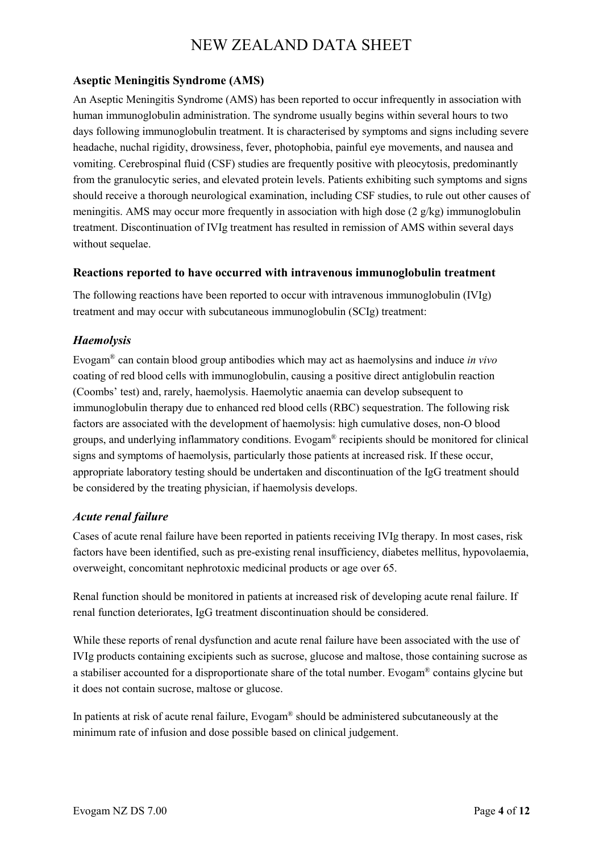#### **Aseptic Meningitis Syndrome (AMS)**

An Aseptic Meningitis Syndrome (AMS) has been reported to occur infrequently in association with human immunoglobulin administration. The syndrome usually begins within several hours to two days following immunoglobulin treatment. It is characterised by symptoms and signs including severe headache, nuchal rigidity, drowsiness, fever, photophobia, painful eye movements, and nausea and vomiting. Cerebrospinal fluid (CSF) studies are frequently positive with pleocytosis, predominantly from the granulocytic series, and elevated protein levels. Patients exhibiting such symptoms and signs should receive a thorough neurological examination, including CSF studies, to rule out other causes of meningitis. AMS may occur more frequently in association with high dose (2 g/kg) immunoglobulin treatment. Discontinuation of IVIg treatment has resulted in remission of AMS within several days without sequelae.

#### **Reactions reported to have occurred with intravenous immunoglobulin treatment**

The following reactions have been reported to occur with intravenous immunoglobulin (IVIg) treatment and may occur with subcutaneous immunoglobulin (SCIg) treatment:

#### *Haemolysis*

Evogam® can contain blood group antibodies which may act as haemolysins and induce *in vivo* coating of red blood cells with immunoglobulin, causing a positive direct antiglobulin reaction (Coombs' test) and, rarely, haemolysis. Haemolytic anaemia can develop subsequent to immunoglobulin therapy due to enhanced red blood cells (RBC) sequestration. The following risk factors are associated with the development of haemolysis: high cumulative doses, non-O blood groups, and underlying inflammatory conditions. Evogam® recipients should be monitored for clinical signs and symptoms of haemolysis, particularly those patients at increased risk. If these occur, appropriate laboratory testing should be undertaken and discontinuation of the IgG treatment should be considered by the treating physician, if haemolysis develops.

#### *Acute renal failure*

Cases of acute renal failure have been reported in patients receiving IVIg therapy. In most cases, risk factors have been identified, such as pre-existing renal insufficiency, diabetes mellitus, hypovolaemia, overweight, concomitant nephrotoxic medicinal products or age over 65.

Renal function should be monitored in patients at increased risk of developing acute renal failure. If renal function deteriorates, IgG treatment discontinuation should be considered.

While these reports of renal dysfunction and acute renal failure have been associated with the use of IVIg products containing excipients such as sucrose, glucose and maltose, those containing sucrose as a stabiliser accounted for a disproportionate share of the total number. Evogam® contains glycine but it does not contain sucrose, maltose or glucose.

In patients at risk of acute renal failure, Evogam® should be administered subcutaneously at the minimum rate of infusion and dose possible based on clinical judgement.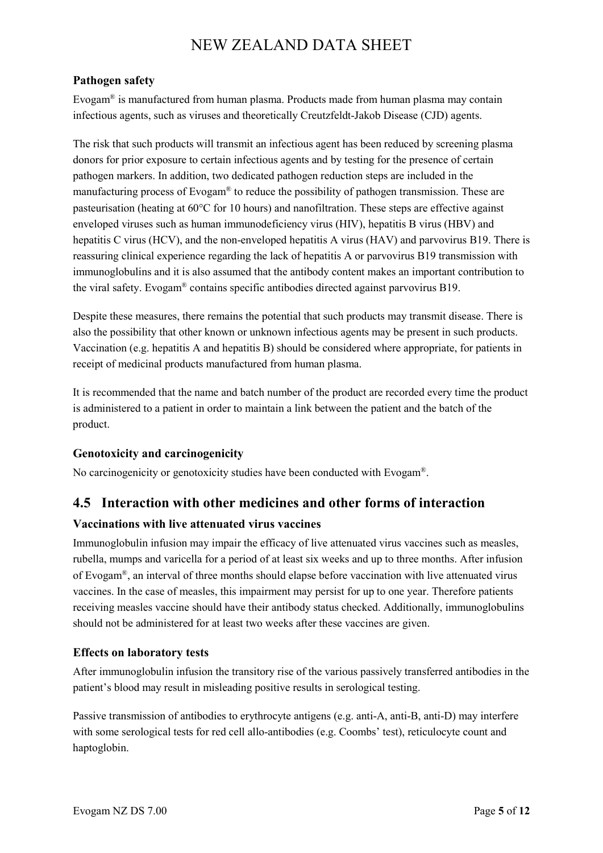#### **Pathogen safety**

Evogam<sup>®</sup> is manufactured from human plasma. Products made from human plasma may contain infectious agents, such as viruses and theoretically Creutzfeldt-Jakob Disease (CJD) agents.

The risk that such products will transmit an infectious agent has been reduced by screening plasma donors for prior exposure to certain infectious agents and by testing for the presence of certain pathogen markers. In addition, two dedicated pathogen reduction steps are included in the manufacturing process of Evogam® to reduce the possibility of pathogen transmission. These are pasteurisation (heating at 60°C for 10 hours) and nanofiltration. These steps are effective against enveloped viruses such as human immunodeficiency virus (HIV), hepatitis B virus (HBV) and hepatitis C virus (HCV), and the non-enveloped hepatitis A virus (HAV) and parvovirus B19. There is reassuring clinical experience regarding the lack of hepatitis A or parvovirus B19 transmission with immunoglobulins and it is also assumed that the antibody content makes an important contribution to the viral safety. Evogam® contains specific antibodies directed against parvovirus B19.

Despite these measures, there remains the potential that such products may transmit disease. There is also the possibility that other known or unknown infectious agents may be present in such products. Vaccination (e.g. hepatitis A and hepatitis B) should be considered where appropriate, for patients in receipt of medicinal products manufactured from human plasma.

It is recommended that the name and batch number of the product are recorded every time the product is administered to a patient in order to maintain a link between the patient and the batch of the product.

## **Genotoxicity and carcinogenicity**

No carcinogenicity or genotoxicity studies have been conducted with Evogam®.

## **4.5 Interaction with other medicines and other forms of interaction**

#### **Vaccinations with live attenuated virus vaccines**

Immunoglobulin infusion may impair the efficacy of live attenuated virus vaccines such as measles, rubella, mumps and varicella for a period of at least six weeks and up to three months. After infusion of Evogam®, an interval of three months should elapse before vaccination with live attenuated virus vaccines. In the case of measles, this impairment may persist for up to one year. Therefore patients receiving measles vaccine should have their antibody status checked. Additionally, immunoglobulins should not be administered for at least two weeks after these vaccines are given.

#### **Effects on laboratory tests**

After immunoglobulin infusion the transitory rise of the various passively transferred antibodies in the patient's blood may result in misleading positive results in serological testing.

Passive transmission of antibodies to erythrocyte antigens (e.g. anti-A, anti-B, anti-D) may interfere with some serological tests for red cell allo-antibodies (e.g. Coombs' test), reticulocyte count and haptoglobin.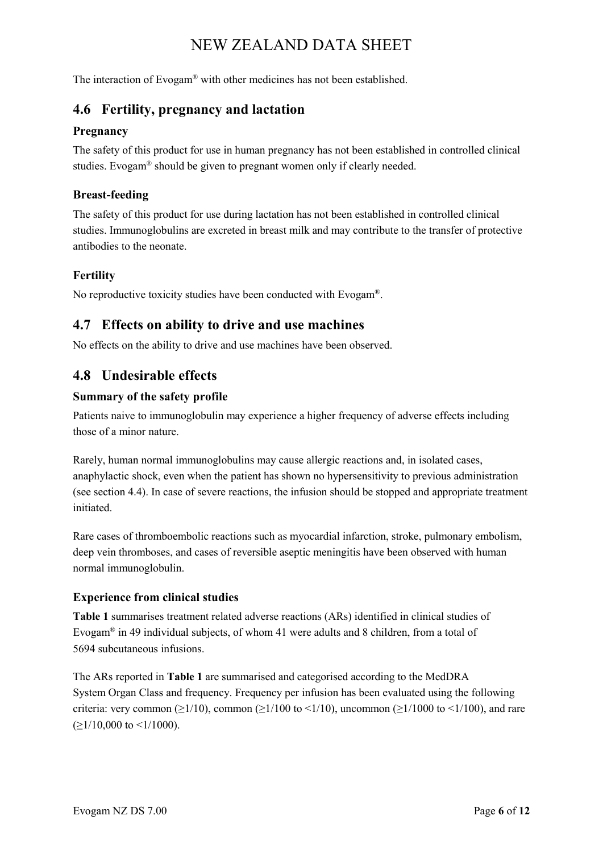The interaction of Evogam® with other medicines has not been established.

## **4.6 Fertility, pregnancy and lactation**

#### **Pregnancy**

The safety of this product for use in human pregnancy has not been established in controlled clinical studies. Evogam® should be given to pregnant women only if clearly needed.

#### **Breast-feeding**

The safety of this product for use during lactation has not been established in controlled clinical studies. Immunoglobulins are excreted in breast milk and may contribute to the transfer of protective antibodies to the neonate.

#### **Fertility**

No reproductive toxicity studies have been conducted with Evogam®.

## **4.7 Effects on ability to drive and use machines**

No effects on the ability to drive and use machines have been observed.

## **4.8 Undesirable effects**

#### **Summary of the safety profile**

Patients naive to immunoglobulin may experience a higher frequency of adverse effects including those of a minor nature.

Rarely, human normal immunoglobulins may cause allergic reactions and, in isolated cases, anaphylactic shock, even when the patient has shown no hypersensitivity to previous administration (see section 4.4). In case of severe reactions, the infusion should be stopped and appropriate treatment initiated.

Rare cases of thromboembolic reactions such as myocardial infarction, stroke, pulmonary embolism, deep vein thromboses, and cases of reversible aseptic meningitis have been observed with human normal immunoglobulin.

#### **Experience from clinical studies**

**Table 1** summarises treatment related adverse reactions (ARs) identified in clinical studies of Evogam® in 49 individual subjects, of whom 41 were adults and 8 children, from a total of 5694 subcutaneous infusions.

The ARs reported in **Table 1** are summarised and categorised according to the MedDRA System Organ Class and frequency. Frequency per infusion has been evaluated using the following criteria: very common ( $\geq$ 1/10), common ( $\geq$ 1/100 to <1/10), uncommon ( $\geq$ 1/1000 to <1/100), and rare  $(\geq 1/10,000$  to  $\leq 1/1000$ ).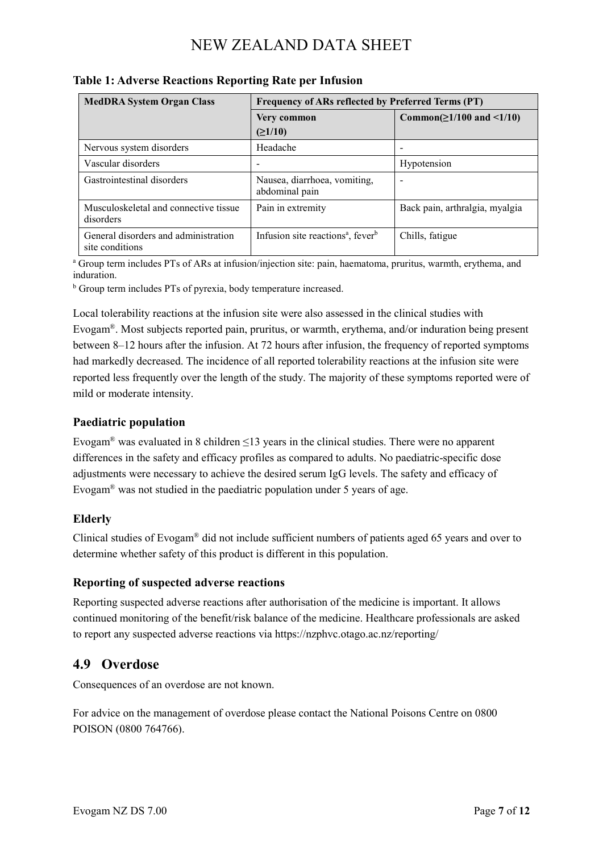| <b>MedDRA System Organ Class</b>                        | Frequency of ARs reflected by Preferred Terms (PT)        |                                 |
|---------------------------------------------------------|-----------------------------------------------------------|---------------------------------|
|                                                         | Very common<br>(≥1/10)                                    | Common( $\geq$ 1/100 and <1/10) |
| Nervous system disorders                                | Headache                                                  |                                 |
| Vascular disorders                                      |                                                           | Hypotension                     |
| Gastrointestinal disorders                              | Nausea, diarrhoea, vomiting,<br>abdominal pain            |                                 |
| Musculoskeletal and connective tissue<br>disorders      | Pain in extremity                                         | Back pain, arthralgia, myalgia  |
| General disorders and administration<br>site conditions | Infusion site reactions <sup>a</sup> , fever <sup>b</sup> | Chills, fatigue                 |

#### **Table 1: Adverse Reactions Reporting Rate per Infusion**

<sup>a</sup> Group term includes PTs of ARs at infusion/injection site: pain, haematoma, pruritus, warmth, erythema, and induration.

<sup>b</sup> Group term includes PTs of pyrexia, body temperature increased.

Local tolerability reactions at the infusion site were also assessed in the clinical studies with Evogam®. Most subjects reported pain, pruritus, or warmth, erythema, and/or induration being present between 8–12 hours after the infusion. At 72 hours after infusion, the frequency of reported symptoms had markedly decreased. The incidence of all reported tolerability reactions at the infusion site were reported less frequently over the length of the study. The majority of these symptoms reported were of mild or moderate intensity.

#### **Paediatric population**

Evogam<sup>®</sup> was evaluated in 8 children  $\leq 13$  years in the clinical studies. There were no apparent differences in the safety and efficacy profiles as compared to adults. No paediatric-specific dose adjustments were necessary to achieve the desired serum IgG levels. The safety and efficacy of Evogam® was not studied in the paediatric population under 5 years of age.

#### **Elderly**

Clinical studies of Evogam<sup>®</sup> did not include sufficient numbers of patients aged 65 years and over to determine whether safety of this product is different in this population.

#### **Reporting of suspected adverse reactions**

Reporting suspected adverse reactions after authorisation of the medicine is important. It allows continued monitoring of the benefit/risk balance of the medicine. Healthcare professionals are asked to report any suspected adverse reactions via https://nzphvc.otago.ac.nz/reporting/

## **4.9 Overdose**

Consequences of an overdose are not known.

For advice on the management of overdose please contact the National Poisons Centre on 0800 POISON (0800 764766).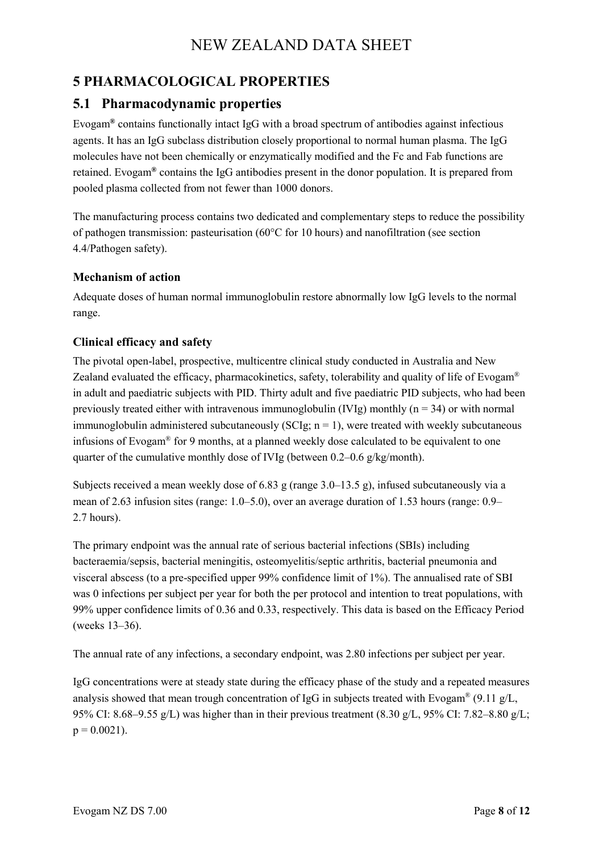# **5 PHARMACOLOGICAL PROPERTIES**

## **5.1 Pharmacodynamic properties**

Evogam**®** contains functionally intact IgG with a broad spectrum of antibodies against infectious agents. It has an IgG subclass distribution closely proportional to normal human plasma. The IgG molecules have not been chemically or enzymatically modified and the Fc and Fab functions are retained. Evogam**®** contains the IgG antibodies present in the donor population. It is prepared from pooled plasma collected from not fewer than 1000 donors.

The manufacturing process contains two dedicated and complementary steps to reduce the possibility of pathogen transmission: pasteurisation (60°C for 10 hours) and nanofiltration (see section 4.4/Pathogen safety).

#### **Mechanism of action**

Adequate doses of human normal immunoglobulin restore abnormally low IgG levels to the normal range.

#### **Clinical efficacy and safety**

The pivotal open-label, prospective, multicentre clinical study conducted in Australia and New Zealand evaluated the efficacy, pharmacokinetics, safety, tolerability and quality of life of Evogam<sup>®</sup> in adult and paediatric subjects with PID. Thirty adult and five paediatric PID subjects, who had been previously treated either with intravenous immunoglobulin (IVIg) monthly ( $n = 34$ ) or with normal immunoglobulin administered subcutaneously (SCIg;  $n = 1$ ), were treated with weekly subcutaneous infusions of Evogam® for 9 months, at a planned weekly dose calculated to be equivalent to one quarter of the cumulative monthly dose of IVIg (between 0.2–0.6 g/kg/month).

Subjects received a mean weekly dose of 6.83 g (range 3.0–13.5 g), infused subcutaneously via a mean of 2.63 infusion sites (range: 1.0–5.0), over an average duration of 1.53 hours (range: 0.9– 2.7 hours).

The primary endpoint was the annual rate of serious bacterial infections (SBIs) including bacteraemia/sepsis, bacterial meningitis, osteomyelitis/septic arthritis, bacterial pneumonia and visceral abscess (to a pre-specified upper 99% confidence limit of 1%). The annualised rate of SBI was 0 infections per subject per year for both the per protocol and intention to treat populations, with 99% upper confidence limits of 0.36 and 0.33, respectively. This data is based on the Efficacy Period (weeks 13–36).

The annual rate of any infections, a secondary endpoint, was 2.80 infections per subject per year.

IgG concentrations were at steady state during the efficacy phase of the study and a repeated measures analysis showed that mean trough concentration of IgG in subjects treated with Evogam<sup>®</sup> (9.11 g/L, 95% CI: 8.68–9.55 g/L) was higher than in their previous treatment (8.30 g/L, 95% CI: 7.82–8.80 g/L;  $p = 0.0021$ .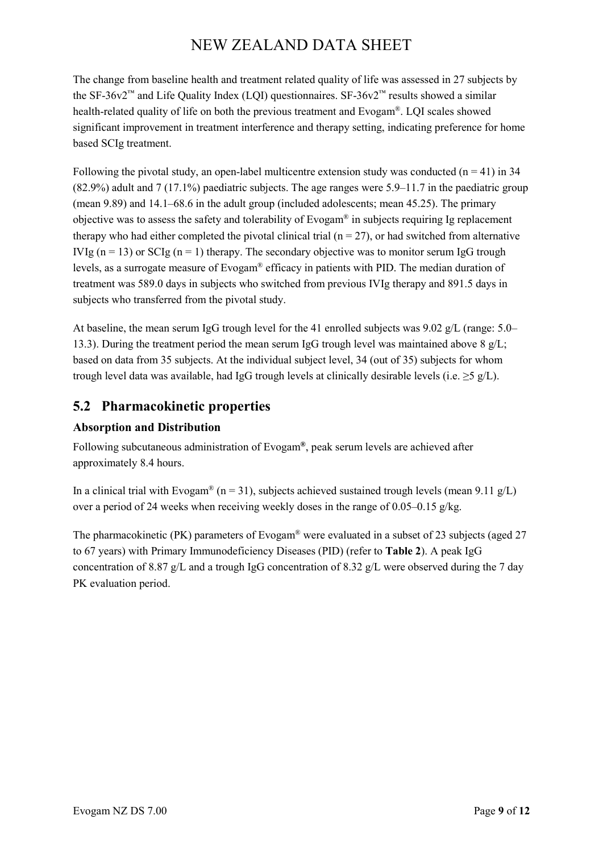The change from baseline health and treatment related quality of life was assessed in 27 subjects by the SF-36v2<sup>™</sup> and Life Quality Index (LQI) questionnaires. SF-36v2<sup>™</sup> results showed a similar health-related quality of life on both the previous treatment and Evogam®. LQI scales showed significant improvement in treatment interference and therapy setting, indicating preference for home based SCIg treatment.

Following the pivotal study, an open-label multicentre extension study was conducted  $(n = 41)$  in 34 (82.9%) adult and 7 (17.1%) paediatric subjects. The age ranges were 5.9–11.7 in the paediatric group (mean 9.89) and 14.1–68.6 in the adult group (included adolescents; mean 45.25). The primary objective was to assess the safety and tolerability of Evogam® in subjects requiring Ig replacement therapy who had either completed the pivotal clinical trial  $(n = 27)$ , or had switched from alternative IVIg ( $n = 13$ ) or SCIg ( $n = 1$ ) therapy. The secondary objective was to monitor serum IgG trough levels, as a surrogate measure of Evogam® efficacy in patients with PID. The median duration of treatment was 589.0 days in subjects who switched from previous IVIg therapy and 891.5 days in subjects who transferred from the pivotal study.

At baseline, the mean serum IgG trough level for the 41 enrolled subjects was 9.02 g/L (range: 5.0– 13.3). During the treatment period the mean serum IgG trough level was maintained above  $8 \text{ g/L}$ ; based on data from 35 subjects. At the individual subject level, 34 (out of 35) subjects for whom trough level data was available, had IgG trough levels at clinically desirable levels (i.e.  $>5$  g/L).

# **5.2 Pharmacokinetic properties**

## **Absorption and Distribution**

Following subcutaneous administration of Evogam**®**, peak serum levels are achieved after approximately 8.4 hours.

In a clinical trial with Evogam® (n = 31), subjects achieved sustained trough levels (mean 9.11 g/L) over a period of 24 weeks when receiving weekly doses in the range of  $0.05-0.15$  g/kg.

The pharmacokinetic (PK) parameters of Evogam® were evaluated in a subset of 23 subjects (aged 27 to 67 years) with Primary Immunodeficiency Diseases (PID) (refer to **Table 2**). A peak IgG concentration of 8.87 g/L and a trough IgG concentration of 8.32 g/L were observed during the 7 day PK evaluation period.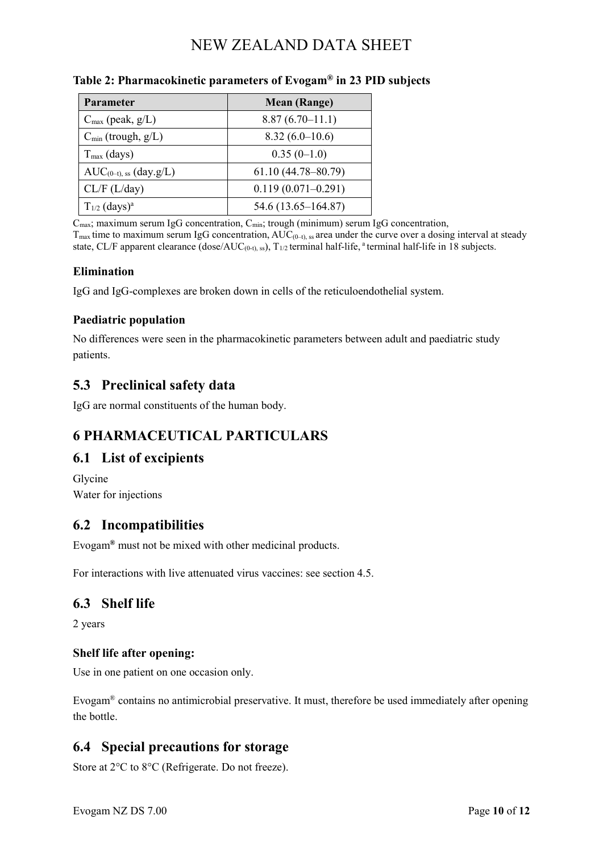| Parameter                       | <b>Mean (Range)</b>    |
|---------------------------------|------------------------|
| $C_{\text{max}}$ (peak, $g/L$ ) | $8.87(6.70-11.1)$      |
| $C_{\min}$ (trough, $g/L$ )     | $8.32(6.0-10.6)$       |
| $T_{\text{max}}$ (days)         | $0.35(0-1.0)$          |
| $AUC_{(0-t), ss}$ (day.g/L)     | $61.10(44.78 - 80.79)$ |
| CL/F (L/day)                    | $0.119(0.071 - 0.291)$ |
| $T_{1/2}$ (days) <sup>a</sup>   | $54.6(13.65 - 164.87)$ |

#### **Table 2: Pharmacokinetic parameters of Evogam® in 23 PID subjects**

 $C_{\text{max}}$ ; maximum serum IgG concentration,  $C_{\text{min}}$ ; trough (minimum) serum IgG concentration,

 $T_{\text{max}}$  time to maximum serum IgG concentration,  $AUC_{(0-t)$ , ss area under the curve over a dosing interval at steady state, CL/F apparent clearance (dose/AUC<sub>(0-t), ss</sub>), T<sub>1/2</sub> terminal half-life, <sup>a</sup> terminal half-life in 18 subjects.

#### **Elimination**

IgG and IgG-complexes are broken down in cells of the reticuloendothelial system.

#### **Paediatric population**

No differences were seen in the pharmacokinetic parameters between adult and paediatric study patients.

## **5.3 Preclinical safety data**

IgG are normal constituents of the human body.

# **6 PHARMACEUTICAL PARTICULARS**

# **6.1 List of excipients**

Glycine Water for injections

# **6.2 Incompatibilities**

Evogam**®** must not be mixed with other medicinal products.

For interactions with live attenuated virus vaccines: see section 4.5.

## **6.3 Shelf life**

2 years

#### **Shelf life after opening:**

Use in one patient on one occasion only.

Evogam® contains no antimicrobial preservative. It must, therefore be used immediately after opening the bottle.

# **6.4 Special precautions for storage**

Store at 2°C to 8°C (Refrigerate. Do not freeze).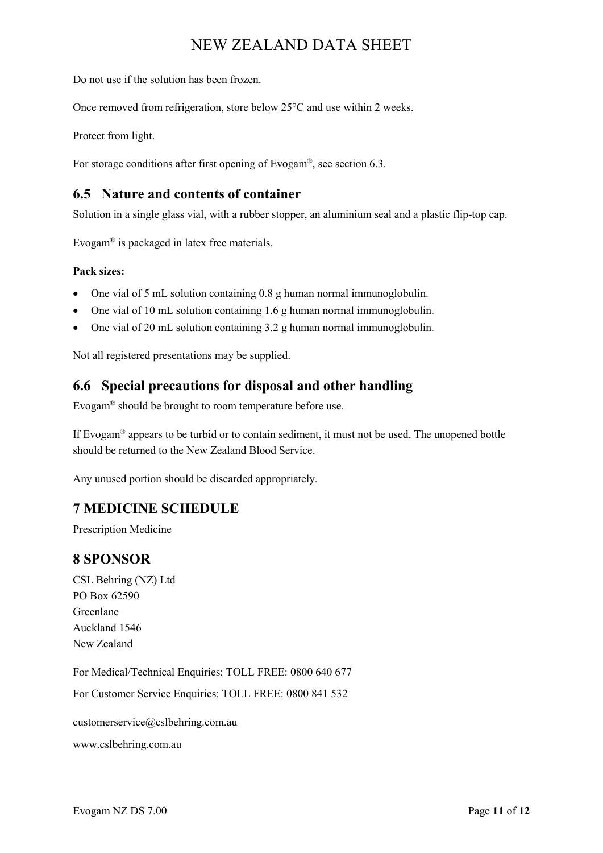Do not use if the solution has been frozen.

Once removed from refrigeration, store below 25°C and use within 2 weeks.

Protect from light.

For storage conditions after first opening of Evogam®, see section 6.3.

### **6.5 Nature and contents of container**

Solution in a single glass vial, with a rubber stopper, an aluminium seal and a plastic flip-top cap.

Evogam® is packaged in latex free materials.

#### **Pack sizes:**

- One vial of 5 mL solution containing 0.8 g human normal immunoglobulin.
- One vial of 10 mL solution containing 1.6 g human normal immunoglobulin.
- One vial of 20 mL solution containing 3.2 g human normal immunoglobulin.

Not all registered presentations may be supplied.

## **6.6 Special precautions for disposal and other handling**

Evogam® should be brought to room temperature before use.

If Evogam® appears to be turbid or to contain sediment, it must not be used. The unopened bottle should be returned to the New Zealand Blood Service.

Any unused portion should be discarded appropriately.

# **7 MEDICINE SCHEDULE**

Prescription Medicine

#### **8 SPONSOR**

CSL Behring (NZ) Ltd PO Box 62590 Greenlane Auckland 1546 New Zealand

For Medical/Technical Enquiries: TOLL FREE: 0800 640 677 For Customer Service Enquiries: TOLL FREE: 0800 841 532 customerservice@cslbehring.com.au www.cslbehring.com.au